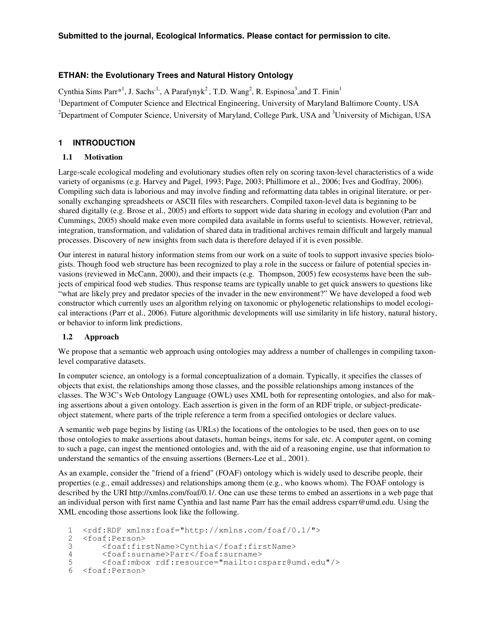## **ETHAN: the Evolutionary Trees and Natural History Ontology**

Cynthia Sims Parr\*<sup>1</sup>, J. Sachs<sup>,1,</sup>, A Parafynyk<sup>2</sup>, T.D. Wang<sup>2</sup>, R. Espinosa<sup>3</sup>, and T. Finin<sup>1</sup> <sup>1</sup>Department of Computer Science and Electrical Engineering, University of Maryland Baltimore County, USA  $^{2}$ Department of Computer Science, University of Maryland, College Park, USA and  $^{3}$ University of Michigan, USA

## **1 INTRODUCTION**

### **1.1 Motivation**

Large-scale ecological modeling and evolutionary studies often rely on scoring taxon-level characteristics of a wide variety of organisms (e.g. Harvey and Pagel, 1993; Page, 2003; Phillimore et al., 2006; Ives and Godfray, 2006). Compiling such data is laborious and may involve finding and reformatting data tables in original literature, or personally exchanging spreadsheets or ASCII files with researchers. Compiled taxon-level data is beginning to be shared digitally (e.g. Brose et al., 2005) and efforts to support wide data sharing in ecology and evolution (Parr and Cummings, 2005) should make even more compiled data available in forms useful to scientists. However, retrieval, integration, transformation, and validation of shared data in traditional archives remain difficult and largely manual processes. Discovery of new insights from such data is therefore delayed if it is even possible.

Our interest in natural history information stems from our work on a suite of tools to support invasive species biologists. Though food web structure has been recognized to play a role in the success or failure of potential species invasions (reviewed in McCann, 2000), and their impacts (e.g. Thompson, 2005) few ecosystems have been the subjects of empirical food web studies. Thus response teams are typically unable to get quick answers to questions like "what are likely prey and predator species of the invader in the new environment?" We have developed a food web constructor which currently uses an algorithm relying on taxonomic or phylogenetic relationships to model ecological interactions (Parr et al., 2006). Future algorithmic developments will use similarity in life history, natural history, or behavior to inform link predictions.

### **1.2 Approach**

We propose that a semantic web approach using ontologies may address a number of challenges in compiling taxonlevel comparative datasets.

In computer science, an ontology is a formal conceptualization of a domain. Typically, it specifies the classes of objects that exist, the relationships among those classes, and the possible relationships among instances of the classes. The W3C's Web Ontology Language (OWL) uses XML both for representing ontologies, and also for making assertions about a given ontology. Each assertion is given in the form of an RDF triple, or subject-predicateobject statement, where parts of the triple reference a term from a specified ontologies or declare values.

A semantic web page begins by listing (as URLs) the locations of the ontologies to be used, then goes on to use those ontologies to make assertions about datasets, human beings, items for sale, etc. A computer agent, on coming to such a page, can ingest the mentioned ontologies and, with the aid of a reasoning engine, use that information to understand the semantics of the ensuing assertions (Berners-Lee et al., 2001).

As an example, consider the "friend of a friend" (FOAF) ontology which is widely used to describe people, their properties (e.g., email addresses) and relationships among them (e.g., who knows whom). The FOAF ontology is described by the URI http://xmlns.com/foaf/0.1/. One can use these terms to embed an assertions in a web page that an individual person with first name Cynthia and last name Parr has the email address csparr@umd.edu. Using the XML encoding those assertions look like the following.

```
1 <rdf:RDF xmlns:foaf="http://xmlns.com/foaf/0.1/">
2 <foaf:Person><br>3 <foaf:fir
       3 <foaf:firstName>Cynthia</foaf:firstName>
4 <foaf:surname>Parr</foaf:surname>
5 <foaf:mbox rdf:resource="mailto:csparr@umd.edu"/>
  6 <foaf:Person>
```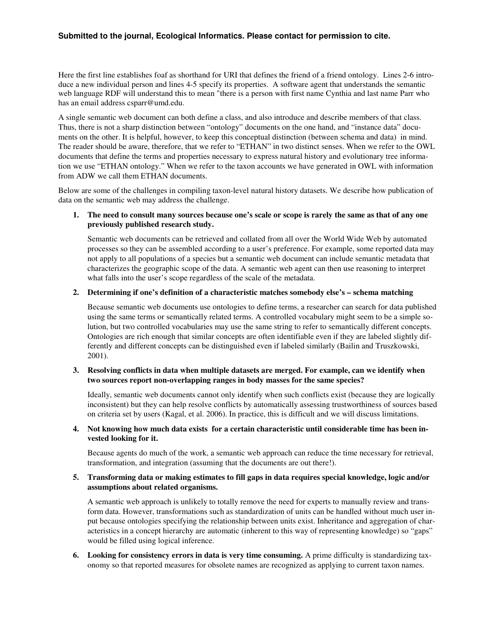Here the first line establishes foaf as shorthand for URI that defines the friend of a friend ontology. Lines 2-6 introduce a new individual person and lines 4-5 specify its properties. A software agent that understands the semantic web language RDF will understand this to mean "there is a person with first name Cynthia and last name Parr who has an email address csparr@umd.edu.

A single semantic web document can both define a class, and also introduce and describe members of that class. Thus, there is not a sharp distinction between "ontology" documents on the one hand, and "instance data" documents on the other. It is helpful, however, to keep this conceptual distinction (between schema and data) in mind. The reader should be aware, therefore, that we refer to "ETHAN" in two distinct senses. When we refer to the OWL documents that define the terms and properties necessary to express natural history and evolutionary tree information we use "ETHAN ontology." When we refer to the taxon accounts we have generated in OWL with information from ADW we call them ETHAN documents.

Below are some of the challenges in compiling taxon-level natural history datasets. We describe how publication of data on the semantic web may address the challenge.

### 1. The need to consult many sources because one's scale or scope is rarely the same as that of any one **previously published research study.**

Semantic web documents can be retrieved and collated from all over the World Wide Web by automated processes so they can be assembled according to a user's preference. For example, some reported data may not apply to all populations of a species but a semantic web document can include semantic metadata that characterizes the geographic scope of the data. A semantic web agent can then use reasoning to interpret what falls into the user's scope regardless of the scale of the metadata.

#### **2. Determining if one's definition of a characteristic matches somebody else's – schema matching**

Because semantic web documents use ontologies to define terms, a researcher can search for data published using the same terms or semantically related terms. A controlled vocabulary might seem to be a simple solution, but two controlled vocabularies may use the same string to refer to semantically different concepts. Ontologies are rich enough that similar concepts are often identifiable even if they are labeled slightly differently and different concepts can be distinguished even if labeled similarly (Bailin and Truszkowski, 2001).

### **3. Resolving conflicts in data when multiple datasets are merged. For example, can we identify when two sources report non-overlapping ranges in body masses for the same species?**

Ideally, semantic web documents cannot only identify when such conflicts exist (because they are logically inconsistent) but they can help resolve conflicts by automatically assessing trustworthiness of sources based on criteria set by users (Kagal, et al. 2006). In practice, this is difficult and we will discuss limitations.

### **4. Not knowing how much data exists for a certain characteristic until considerable time has been invested looking for it.**

Because agents do much of the work, a semantic web approach can reduce the time necessary for retrieval, transformation, and integration (assuming that the documents are out there!).

### **5. Transforming data or making estimates to fill gaps in data requires special knowledge, logic and/or assumptions about related organisms.**

A semantic web approach is unlikely to totally remove the need for experts to manually review and transform data. However, transformations such as standardization of units can be handled without much user input because ontologies specifying the relationship between units exist. Inheritance and aggregation of characteristics in a concept hierarchy are automatic (inherent to this way of representing knowledge) so "gaps" would be filled using logical inference.

**6. Looking for consistency errors in data is very time consuming.** A prime difficulty is standardizing taxonomy so that reported measures for obsolete names are recognized as applying to current taxon names.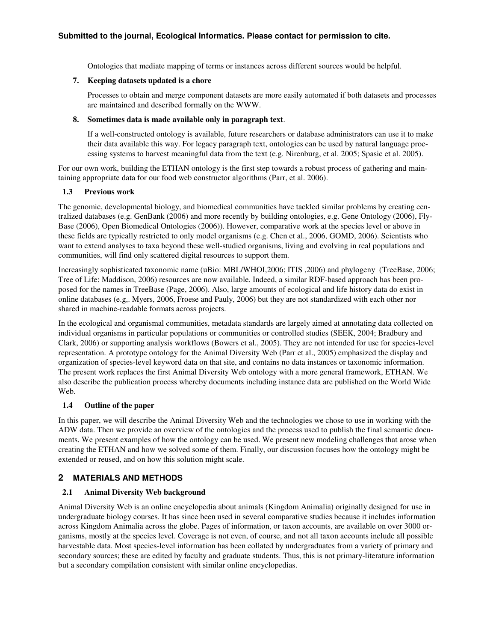Ontologies that mediate mapping of terms or instances across different sources would be helpful.

### **7. Keeping datasets updated is a chore**

Processes to obtain and merge component datasets are more easily automated if both datasets and processes are maintained and described formally on the WWW.

## **8. Sometimes data is made available only in paragraph text**.

If a well-constructed ontology is available, future researchers or database administrators can use it to make their data available this way. For legacy paragraph text, ontologies can be used by natural language processing systems to harvest meaningful data from the text (e.g. Nirenburg, et al. 2005; Spasic et al. 2005).

For our own work, building the ETHAN ontology is the first step towards a robust process of gathering and maintaining appropriate data for our food web constructor algorithms (Parr, et al. 2006).

## **1.3 Previous work**

The genomic, developmental biology, and biomedical communities have tackled similar problems by creating centralized databases (e.g. GenBank (2006) and more recently by building ontologies, e.g. Gene Ontology (2006), Fly-Base (2006), Open Biomedical Ontologies (2006)). However, comparative work at the species level or above in these fields are typically restricted to only model organisms (e.g. Chen et al., 2006, GOMD, 2006). Scientists who want to extend analyses to taxa beyond these well-studied organisms, living and evolving in real populations and communities, will find only scattered digital resources to support them.

Increasingly sophisticated taxonomic name (uBio: MBL/WHOI,2006; ITIS ,2006) and phylogeny (TreeBase, 2006; Tree of Life: Maddison, 2006) resources are now available. Indeed, a similar RDF-based approach has been proposed for the names in TreeBase (Page, 2006). Also, large amounts of ecological and life history data do exist in online databases (e.g,. Myers, 2006, Froese and Pauly, 2006) but they are not standardized with each other nor shared in machine-readable formats across projects.

In the ecological and organismal communities, metadata standards are largely aimed at annotating data collected on individual organisms in particular populations or communities or controlled studies (SEEK, 2004; Bradbury and Clark, 2006) or supporting analysis workflows (Bowers et al., 2005). They are not intended for use for species-level representation. A prototype ontology for the Animal Diversity Web (Parr et al., 2005) emphasized the display and organization of species-level keyword data on that site, and contains no data instances or taxonomic information. The present work replaces the first Animal Diversity Web ontology with a more general framework, ETHAN. We also describe the publication process whereby documents including instance data are published on the World Wide Web.

## **1.4 Outline of the paper**

In this paper, we will describe the Animal Diversity Web and the technologies we chose to use in working with the ADW data. Then we provide an overview of the ontologies and the process used to publish the final semantic documents. We present examples of how the ontology can be used. We present new modeling challenges that arose when creating the ETHAN and how we solved some of them. Finally, our discussion focuses how the ontology might be extended or reused, and on how this solution might scale.

# **2 MATERIALS AND METHODS**

## **2.1 Animal Diversity Web background**

Animal Diversity Web is an online encyclopedia about animals (Kingdom Animalia) originally designed for use in undergraduate biology courses. It has since been used in several comparative studies because it includes information across Kingdom Animalia across the globe. Pages of information, or taxon accounts, are available on over 3000 organisms, mostly at the species level. Coverage is not even, of course, and not all taxon accounts include all possible harvestable data. Most species-level information has been collated by undergraduates from a variety of primary and secondary sources; these are edited by faculty and graduate students. Thus, this is not primary-literature information but a secondary compilation consistent with similar online encyclopedias.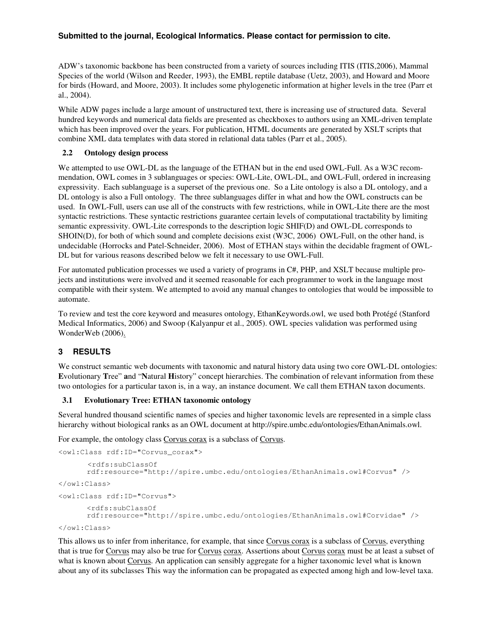ADW's taxonomic backbone has been constructed from a variety of sources including ITIS (ITIS,2006), Mammal Species of the world (Wilson and Reeder, 1993), the EMBL reptile database (Uetz, 2003), and Howard and Moore for birds (Howard, and Moore, 2003). It includes some phylogenetic information at higher levels in the tree (Parr et al., 2004).

While ADW pages include a large amount of unstructured text, there is increasing use of structured data. Several hundred keywords and numerical data fields are presented as checkboxes to authors using an XML-driven template which has been improved over the years. For publication, HTML documents are generated by XSLT scripts that combine XML data templates with data stored in relational data tables (Parr et al., 2005).

### **2.2 Ontology design process**

We attempted to use OWL-DL as the language of the ETHAN but in the end used OWL-Full. As a W3C recommendation, OWL comes in 3 sublanguages or species: OWL-Lite, OWL-DL, and OWL-Full, ordered in increasing expressivity. Each sublanguage is a superset of the previous one. So a Lite ontology is also a DL ontology, and a DL ontology is also a Full ontology. The three sublanguages differ in what and how the OWL constructs can be used. In OWL-Full, users can use all of the constructs with few restrictions, while in OWL-Lite there are the most syntactic restrictions. These syntactic restrictions guarantee certain levels of computational tractability by limiting semantic expressivity. OWL-Lite corresponds to the description logic SHIF(D) and OWL-DL corresponds to SHOIN(D), for both of which sound and complete decisions exist (W3C, 2006) OWL-Full, on the other hand, is undecidable (Horrocks and Patel-Schneider, 2006). Most of ETHAN stays within the decidable fragment of OWL-DL but for various reasons described below we felt it necessary to use OWL-Full.

For automated publication processes we used a variety of programs in C#, PHP, and XSLT because multiple projects and institutions were involved and it seemed reasonable for each programmer to work in the language most compatible with their system. We attempted to avoid any manual changes to ontologies that would be impossible to automate.

To review and test the core keyword and measures ontology, EthanKeywords.owl, we used both Protégé (Stanford Medical Informatics, 2006) and Swoop (Kalyanpur et al., 2005). OWL species validation was performed using WonderWeb (2006).

### **3 RESULTS**

We construct semantic web documents with taxonomic and natural history data using two core OWL-DL ontologies: **E**volutionary **T**ree" **a**nd "**N**atural **H**istory" concept hierarchies. The combination of relevant information from these two ontologies for a particular taxon is, in a way, an instance document. We call them ETHAN taxon documents.

### **3.1 Evolutionary Tree: ETHAN taxonomic ontology**

Several hundred thousand scientific names of species and higher taxonomic levels are represented in a simple class hierarchy without biological ranks as an OWL document at http://spire.umbc.edu/ontologies/EthanAnimals.owl.

For example, the ontology class Corvus corax is a subclass of Corvus.

```
<owl:Class rdf:ID="Corvus_corax">
      <rdfs:subClassOf
      rdf:resource="http://spire.umbc.edu/ontologies/EthanAnimals.owl#Corvus" />
</owl:Class>
<owl:Class rdf:ID="Corvus">
      <rdfs:subClassOf
      rdf:resource="http://spire.umbc.edu/ontologies/EthanAnimals.owl#Corvidae" />
</owl:Class>
```
This allows us to infer from inheritance, for example, that since Corvus corax is a subclass of Corvus, everything that is true for Corvus may also be true for Corvus corax. Assertions about Corvus corax must be at least a subset of what is known about Corvus. An application can sensibly aggregate for a higher taxonomic level what is known about any of its subclasses This way the information can be propagated as expected among high and low-level taxa.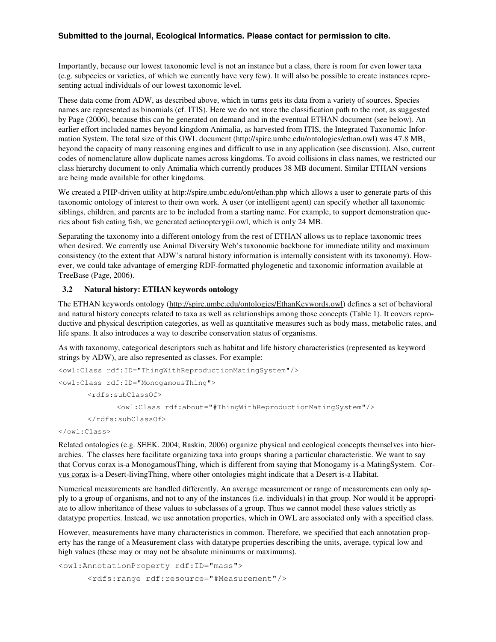Importantly, because our lowest taxonomic level is not an instance but a class, there is room for even lower taxa (e.g. subpecies or varieties, of which we currently have very few). It will also be possible to create instances representing actual individuals of our lowest taxonomic level.

These data come from ADW, as described above, which in turns gets its data from a variety of sources. Species names are represented as binomials (cf. ITIS). Here we do not store the classification path to the root, as suggested by Page (2006), because this can be generated on demand and in the eventual ETHAN document (see below). An earlier effort included names beyond kingdom Animalia, as harvested from ITIS, the Integrated Taxonomic Information System. The total size of this OWL document (http://spire.umbc.edu/ontologies/ethan.owl) was 47.8 MB, beyond the capacity of many reasoning engines and difficult to use in any application (see discussion). Also, current codes of nomenclature allow duplicate names across kingdoms. To avoid collisions in class names, we restricted our class hierarchy document to only Animalia which currently produces 38 MB document. Similar ETHAN versions are being made available for other kingdoms.

We created a PHP-driven utility at http://spire.umbc.edu/ont/ethan.php which allows a user to generate parts of this taxonomic ontology of interest to their own work. A user (or intelligent agent) can specify whether all taxonomic siblings, children, and parents are to be included from a starting name. For example, to support demonstration queries about fish eating fish, we generated actinopterygii.owl, which is only 24 MB.

Separating the taxonomy into a different ontology from the rest of ETHAN allows us to replace taxonomic trees when desired. We currently use Animal Diversity Web's taxonomic backbone for immediate utility and maximum consistency (to the extent that ADW's natural history information is internally consistent with its taxonomy). However, we could take advantage of emerging RDF-formatted phylogenetic and taxonomic information available at TreeBase (Page, 2006).

### **3.2 Natural history: ETHAN keywords ontology**

The ETHAN keywords ontology (http://spire.umbc.edu/ontologies/EthanKeywords.owl) defines a set of behavioral and natural history concepts related to taxa as well as relationships among those concepts (Table 1). It covers reproductive and physical description categories, as well as quantitative measures such as body mass, metabolic rates, and life spans. It also introduces a way to describe conservation status of organisms.

As with taxonomy, categorical descriptors such as habitat and life history characteristics (represented as keyword strings by ADW), are also represented as classes. For example:

```
<owl:Class rdf:ID="ThingWithReproductionMatingSystem"/>
<owl:Class rdf:ID="MonogamousThing">
      <rdfs:subClassOf>
             <owl:Class rdf:about="#ThingWithReproductionMatingSystem"/>
      </rdfs:subClassOf>
```
</owl:Class>

Related ontologies (e.g. SEEK. 2004; Raskin, 2006) organize physical and ecological concepts themselves into hierarchies. The classes here facilitate organizing taxa into groups sharing a particular characteristic. We want to say that Corvus corax is-a MonogamousThing, which is different from saying that Monogamy is-a MatingSystem. Corvus corax is-a Desert-livingThing, where other ontologies might indicate that a Desert is-a Habitat.

Numerical measurements are handled differently. An average measurement or range of measurements can only apply to a group of organisms, and not to any of the instances (i.e. individuals) in that group. Nor would it be appropriate to allow inheritance of these values to subclasses of a group. Thus we cannot model these values strictly as datatype properties. Instead, we use annotation properties, which in OWL are associated only with a specified class.

However, measurements have many characteristics in common. Therefore, we specified that each annotation property has the range of a Measurement class with datatype properties describing the units, average, typical low and high values (these may or may not be absolute minimums or maximums).

```
<owl:AnnotationProperty rdf:ID="mass">
      <rdfs:range rdf:resource="#Measurement"/>
```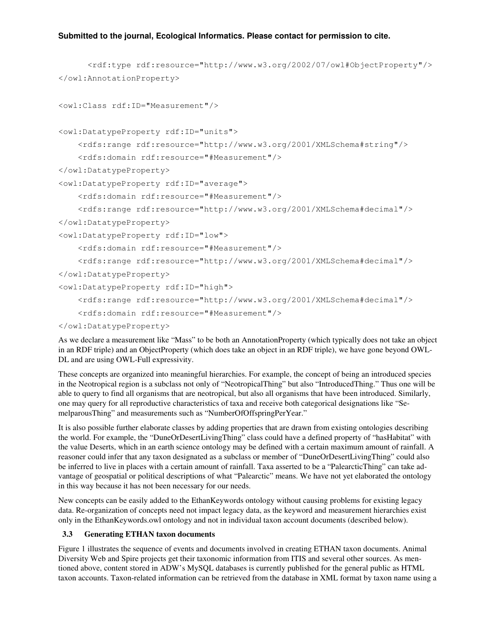```
<rdf:type rdf:resource="http://www.w3.org/2002/07/owl#ObjectProperty"/>
</owl:AnnotationProperty>
<owl:Class rdf:ID="Measurement"/>
<owl:DatatypeProperty rdf:ID="units">
    <rdfs:range rdf:resource="http://www.w3.org/2001/XMLSchema#string"/>
    <rdfs:domain rdf:resource="#Measurement"/>
</owl:DatatypeProperty>
<owl:DatatypeProperty rdf:ID="average">
    <rdfs:domain rdf:resource="#Measurement"/>
    <rdfs:range rdf:resource="http://www.w3.org/2001/XMLSchema#decimal"/>
</owl:DatatypeProperty>
<owl:DatatypeProperty rdf:ID="low">
    <rdfs:domain rdf:resource="#Measurement"/>
    <rdfs:range rdf:resource="http://www.w3.org/2001/XMLSchema#decimal"/>
</owl:DatatypeProperty>
<owl:DatatypeProperty rdf:ID="high">
    <rdfs:range rdf:resource="http://www.w3.org/2001/XMLSchema#decimal"/>
    <rdfs:domain rdf:resource="#Measurement"/>
</owl:DatatypeProperty>
```
As we declare a measurement like "Mass" to be both an AnnotationProperty (which typically does not take an object in an RDF triple) and an ObjectProperty (which does take an object in an RDF triple), we have gone beyond OWL-DL and are using OWL-Full expressivity.

These concepts are organized into meaningful hierarchies. For example, the concept of being an introduced species in the Neotropical region is a subclass not only of "NeotropicalThing" but also "IntroducedThing." Thus one will be able to query to find all organisms that are neotropical, but also all organisms that have been introduced. Similarly, one may query for all reproductive characteristics of taxa and receive both categorical designations like "SemelparousThing" and measurements such as "NumberOfOffspringPerYear."

It is also possible further elaborate classes by adding properties that are drawn from existing ontologies describing the world. For example, the "DuneOrDesertLivingThing" class could have a defined property of "hasHabitat" with the value Deserts, which in an earth science ontology may be defined with a certain maximum amount of rainfall. A reasoner could infer that any taxon designated as a subclass or member of "DuneOrDesertLivingThing" could also be inferred to live in places with a certain amount of rainfall. Taxa asserted to be a "PalearcticThing" can take advantage of geospatial or political descriptions of what "Palearctic" means. We have not yet elaborated the ontology in this way because it has not been necessary for our needs.

New concepts can be easily added to the EthanKeywords ontology without causing problems for existing legacy data. Re-organization of concepts need not impact legacy data, as the keyword and measurement hierarchies exist only in the EthanKeywords.owl ontology and not in individual taxon account documents (described below).

### **3.3 Generating ETHAN taxon documents**

Figure 1 illustrates the sequence of events and documents involved in creating ETHAN taxon documents. Animal Diversity Web and Spire projects get their taxonomic information from ITIS and several other sources. As mentioned above, content stored in ADW's MySQL databases is currently published for the general public as HTML taxon accounts. Taxon-related information can be retrieved from the database in XML format by taxon name using a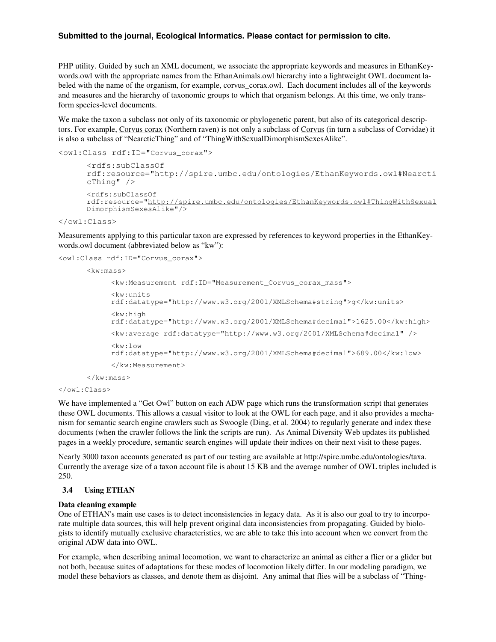PHP utility. Guided by such an XML document, we associate the appropriate keywords and measures in EthanKeywords.owl with the appropriate names from the EthanAnimals.owl hierarchy into a lightweight OWL document labeled with the name of the organism, for example, corvus\_corax.owl. Each document includes all of the keywords and measures and the hierarchy of taxonomic groups to which that organism belongs. At this time, we only transform species-level documents.

We make the taxon a subclass not only of its taxonomic or phylogenetic parent, but also of its categorical descriptors. For example, Corvus corax (Northern raven) is not only a subclass of Corvus (in turn a subclass of Corvidae) it is also a subclass of "NearcticThing" and of "ThingWithSexualDimorphismSexesAlike".

```
<owl:Class rdf:ID="Corvus_corax">
```

```
<rdfs:subClassOf
rdf:resource="http://spire.umbc.edu/ontologies/EthanKeywords.owl#Nearcti
cThing" />
<rdfs:subClassOf
rdf:resource="http://spire.umbc.edu/ontologies/EthanKeywords.owl#ThingWithSexual
DimorphismSexesAlike"/>
```
#### </owl:Class>

Measurements applying to this particular taxon are expressed by references to keyword properties in the EthanKeywords.owl document (abbreviated below as "kw"):

```
<owl:Class rdf:ID="Corvus_corax">
```

```
<kw:mass>
```

```
<kw:Measurement rdf:ID="Measurement_Corvus_corax_mass">
     <kw:units
     rdf:datatype="http://www.w3.org/2001/XMLSchema#string">g</kw:units>
     \langlekw:high
     rdf:datatype="http://www.w3.org/2001/XMLSchema#decimal">1625.00</kw:high>
     <kw:average rdf:datatype="http://www.w3.org/2001/XMLSchema#decimal" />
     <kw:low
     rdf:datatype="http://www.w3.org/2001/XMLSchema#decimal">689.00</kw:low>
     </kw:Measurement>
\langle/kw:mass>
```
</owl:Class>

We have implemented a "Get Owl" button on each ADW page which runs the transformation script that generates these OWL documents. This allows a casual visitor to look at the OWL for each page, and it also provides a mechanism for semantic search engine crawlers such as Swoogle (Ding, et al. 2004) to regularly generate and index these documents (when the crawler follows the link the scripts are run). As Animal Diversity Web updates its published pages in a weekly procedure, semantic search engines will update their indices on their next visit to these pages.

Nearly 3000 taxon accounts generated as part of our testing are available at http://spire.umbc.edu/ontologies/taxa. Currently the average size of a taxon account file is about 15 KB and the average number of OWL triples included is 250.

#### **3.4 Using ETHAN**

#### **Data cleaning example**

One of ETHAN's main use cases is to detect inconsistencies in legacy data. As it is also our goal to try to incorporate multiple data sources, this will help prevent original data inconsistencies from propagating. Guided by biologists to identify mutually exclusive characteristics, we are able to take this into account when we convert from the original ADW data into OWL.

For example, when describing animal locomotion, we want to characterize an animal as either a flier or a glider but not both, because suites of adaptations for these modes of locomotion likely differ. In our modeling paradigm, we model these behaviors as classes, and denote them as disjoint. Any animal that flies will be a subclass of "Thing-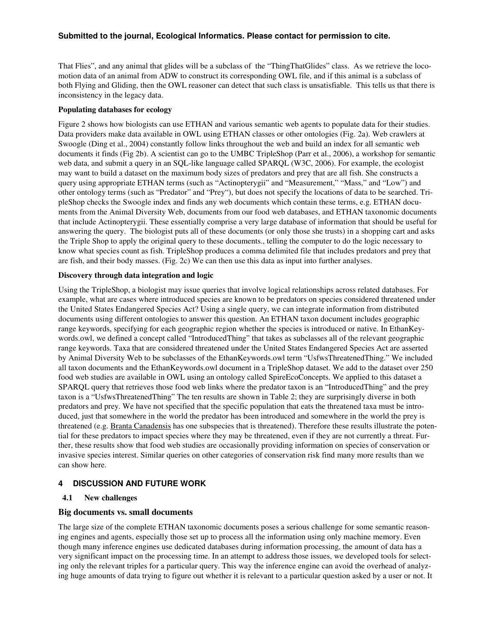That Flies", and any animal that glides will be a subclass of the "ThingThatGlides" class. As we retrieve the locomotion data of an animal from ADW to construct its corresponding OWL file, and if this animal is a subclass of both Flying and Gliding, then the OWL reasoner can detect that such class is unsatisfiable. This tells us that there is inconsistency in the legacy data.

### **Populating databases for ecology**

Figure 2 shows how biologists can use ETHAN and various semantic web agents to populate data for their studies. Data providers make data available in OWL using ETHAN classes or other ontologies (Fig. 2a). Web crawlers at Swoogle (Ding et al., 2004) constantly follow links throughout the web and build an index for all semantic web documents it finds (Fig 2b). A scientist can go to the UMBC TripleShop (Parr et al., 2006), a workshop for semantic web data, and submit a query in an SQL-like language called SPARQL (W3C, 2006). For example, the ecologist may want to build a dataset on the maximum body sizes of predators and prey that are all fish. She constructs a query using appropriate ETHAN terms (such as "Actinopterygii" and "Measurement," "Mass," and "Low") and other ontology terms (such as "Predator" and "Prey"), but does not specify the locations of data to be searched. TripleShop checks the Swoogle index and finds any web documents which contain these terms, e.g. ETHAN documents from the Animal Diversity Web, documents from our food web databases, and ETHAN taxonomic documents that include Actinopterygii. These essentially comprise a very large database of information that should be useful for answering the query. The biologist puts all of these documents (or only those she trusts) in a shopping cart and asks the Triple Shop to apply the original query to these documents., telling the computer to do the logic necessary to know what species count as fish. TripleShop produces a comma delimited file that includes predators and prey that are fish, and their body masses. (Fig. 2c) We can then use this data as input into further analyses.

#### **Discovery through data integration and logic**

Using the TripleShop, a biologist may issue queries that involve logical relationships across related databases. For example, what are cases where introduced species are known to be predators on species considered threatened under the United States Endangered Species Act? Using a single query, we can integrate information from distributed documents using different ontologies to answer this question. An ETHAN taxon document includes geographic range keywords, specifying for each geographic region whether the species is introduced or native. In EthanKeywords.owl, we defined a concept called "IntroducedThing" that takes as subclasses all of the relevant geographic range keywords. Taxa that are considered threatened under the United States Endangered Species Act are asserted by Animal Diversity Web to be subclasses of the EthanKeywords.owl term "UsfwsThreatenedThing." We included all taxon documents and the EthanKeywords.owl document in a TripleShop dataset. We add to the dataset over 250 food web studies are available in OWL using an ontology called SpireEcoConcepts. We applied to this dataset a SPARQL query that retrieves those food web links where the predator taxon is an "IntroducedThing" and the prey taxon is a "UsfwsThreatenedThing" The ten results are shown in Table 2; they are surprisingly diverse in both predators and prey. We have not specified that the specific population that eats the threatened taxa must be introduced, just that somewhere in the world the predator has been introduced and somewhere in the world the prey is threatened (e.g. Branta Canadensis has one subspecies that is threatened). Therefore these results illustrate the potential for these predators to impact species where they may be threatened, even if they are not currently a threat. Further, these results show that food web studies are occasionally providing information on species of conservation or invasive species interest. Similar queries on other categories of conservation risk find many more results than we can show here.

### **4 DISCUSSION AND FUTURE WORK**

### **4.1 New challenges**

### **Big documents vs. small documents**

The large size of the complete ETHAN taxonomic documents poses a serious challenge for some semantic reasoning engines and agents, especially those set up to process all the information using only machine memory. Even though many inference engines use dedicated databases during information processing, the amount of data has a very significant impact on the processing time. In an attempt to address those issues, we developed tools for selecting only the relevant triples for a particular query. This way the inference engine can avoid the overhead of analyzing huge amounts of data trying to figure out whether it is relevant to a particular question asked by a user or not. It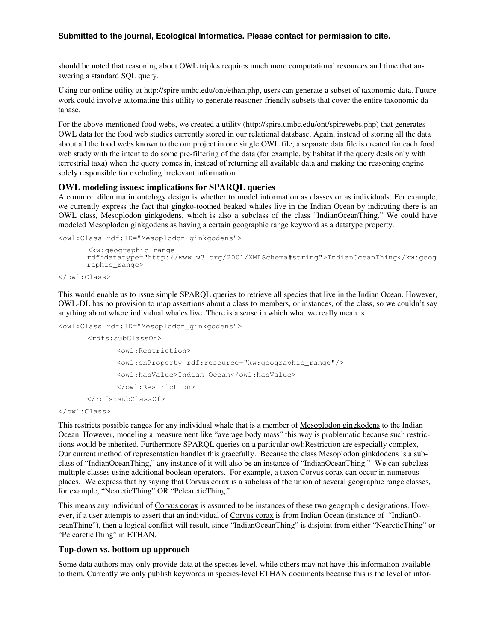should be noted that reasoning about OWL triples requires much more computational resources and time that answering a standard SQL query.

Using our online utility at http://spire.umbc.edu/ont/ethan.php, users can generate a subset of taxonomic data. Future work could involve automating this utility to generate reasoner-friendly subsets that cover the entire taxonomic database.

For the above-mentioned food webs, we created a utility (http://spire.umbc.edu/ont/spirewebs.php) that generates OWL data for the food web studies currently stored in our relational database. Again, instead of storing all the data about all the food webs known to the our project in one single OWL file, a separate data file is created for each food web study with the intent to do some pre-filtering of the data (for example, by habitat if the query deals only with terrestrial taxa) when the query comes in, instead of returning all available data and making the reasoning engine solely responsible for excluding irrelevant information.

## **OWL modeling issues: implications for SPARQL queries**

A common dilemma in ontology design is whether to model information as classes or as individuals. For example, we currently express the fact that gingko-toothed beaked whales live in the Indian Ocean by indicating there is an OWL class, Mesoplodon ginkgodens, which is also a subclass of the class "IndianOceanThing." We could have modeled Mesoplodon ginkgodens as having a certain geographic range keyword as a datatype property.

<owl:Class rdf:ID="Mesoplodon\_ginkgodens">

```
<kw:geographic_range
rdf:datatype="http://www.w3.org/2001/XMLSchema#string">IndianOceanThing</kw:geog
raphic_range>
```

```
</owl:Class>
```
This would enable us to issue simple SPARQL queries to retrieve all species that live in the Indian Ocean. However, OWL-DL has no provision to map assertions about a class to members, or instances, of the class, so we couldn't say anything about where individual whales live. There is a sense in which what we really mean is

<owl:Class rdf:ID="Mesoplodon\_ginkgodens">

```
<rdfs:subClassOf>
       <owl:Restriction>
       <owl:onProperty rdf:resource="kw:geographic_range"/>
       <owl:hasValue>Indian Ocean</owl:hasValue>
       </owl:Restriction>
</rdfs:subClassOf>
```

```
</owl:Class>
```
This restricts possible ranges for any individual whale that is a member of Mesoplodon gingkodens to the Indian Ocean. However, modeling a measurement like "average body mass" this way is problematic because such restrictions would be inherited. Furthermore SPARQL queries on a particular owl:Restriction are especially complex, Our current method of representation handles this gracefully. Because the class Mesoplodon ginkdodens is a subclass of "IndianOceanThing," any instance of it will also be an instance of "IndianOceanThing." We can subclass multiple classes using additional boolean operators. For example, a taxon Corvus corax can occur in numerous places. We express that by saying that Corvus corax is a subclass of the union of several geographic range classes, for example, "NearcticThing" OR "PelearcticThing."

This means any individual of Corvus corax is assumed to be instances of these two geographic designations. However, if a user attempts to assert that an individual of Corvus corax is from Indian Ocean (instance of "IndianOceanThing"), then a logical conflict will result, since "IndianOceanThing" is disjoint from either "NearcticThing" or "PelearcticThing" in ETHAN.

### **Top-down vs. bottom up approach**

Some data authors may only provide data at the species level, while others may not have this information available to them. Currently we only publish keywords in species-level ETHAN documents because this is the level of infor-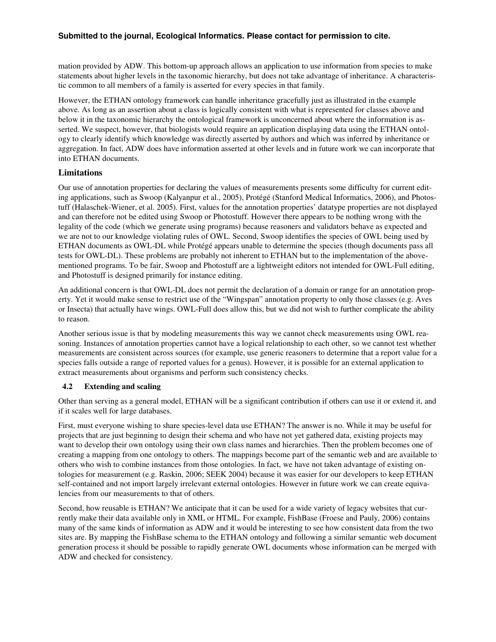mation provided by ADW. This bottom-up approach allows an application to use information from species to make statements about higher levels in the taxonomic hierarchy, but does not take advantage of inheritance. A characteristic common to all members of a family is asserted for every species in that family.

However, the ETHAN ontology framework can handle inheritance gracefully just as illustrated in the example above. As long as an assertion about a class is logically consistent with what is represented for classes above and below it in the taxonomic hierarchy the ontological framework is unconcerned about where the information is asserted. We suspect, however, that biologists would require an application displaying data using the ETHAN ontology to clearly identify which knowledge was directly asserted by authors and which was inferred by inheritance or aggregation. In fact, ADW does have information asserted at other levels and in future work we can incorporate that into ETHAN documents.

### **Limitations**

Our use of annotation properties for declaring the values of measurements presents some difficulty for current editing applications, such as Swoop (Kalyanpur et al., 2005), Protégé (Stanford Medical Informatics, 2006), and Photostuff (Halaschek-Wiener, et al. 2005). First, values for the annotation properties' datatype properties are not displayed and can therefore not be edited using Swoop or Photostuff. However there appears to be nothing wrong with the legality of the code (which we generate using programs) because reasoners and validators behave as expected and we are not to our knowledge violating rules of OWL. Second, Swoop identifies the species of OWL being used by ETHAN documents as OWL-DL while Protégé appears unable to determine the species (though documents pass all tests for OWL-DL). These problems are probably not inherent to ETHAN but to the implementation of the abovementioned programs. To be fair, Swoop and Photostuff are a lightweight editors not intended for OWL-Full editing, and Photostuff is designed primarily for instance editing.

An additional concern is that OWL-DL does not permit the declaration of a domain or range for an annotation property. Yet it would make sense to restrict use of the "Wingspan" annotation property to only those classes (e.g. Aves or Insecta) that actually have wings. OWL-Full does allow this, but we did not wish to further complicate the ability to reason.

Another serious issue is that by modeling measurements this way we cannot check measurements using OWL reasoning. Instances of annotation properties cannot have a logical relationship to each other, so we cannot test whether measurements are consistent across sources (for example, use generic reasoners to determine that a report value for a species falls outside a range of reported values for a genus). However, it is possible for an external application to extract measurements about organisms and perform such consistency checks.

### **4.2 Extending and scaling**

Other than serving as a general model, ETHAN will be a significant contribution if others can use it or extend it, and if it scales well for large databases.

First, must everyone wishing to share species-level data use ETHAN? The answer is no. While it may be useful for projects that are just beginning to design their schema and who have not yet gathered data, existing projects may want to develop their own ontology using their own class names and hierarchies. Then the problem becomes one of creating a mapping from one ontology to others. The mappings become part of the semantic web and are available to others who wish to combine instances from those ontologies. In fact, we have not taken advantage of existing ontologies for measurement (e.g. Raskin, 2006; SEEK 2004) because it was easier for our developers to keep ETHAN self-contained and not import largely irrelevant external ontologies. However in future work we can create equivalencies from our measurements to that of others.

Second, how reusable is ETHAN? We anticipate that it can be used for a wide variety of legacy websites that currently make their data available only in XML or HTML. For example, FishBase (Froese and Pauly, 2006) contains many of the same kinds of information as ADW and it would be interesting to see how consistent data from the two sites are. By mapping the FishBase schema to the ETHAN ontology and following a similar semantic web document generation process it should be possible to rapidly generate OWL documents whose information can be merged with ADW and checked for consistency.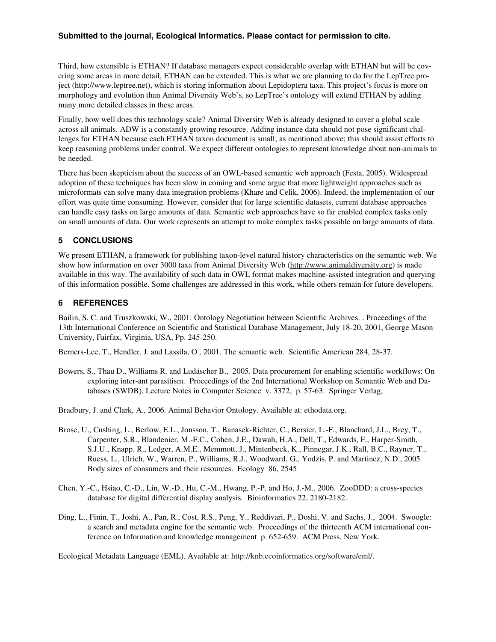Third, how extensible is ETHAN? If database managers expect considerable overlap with ETHAN but will be covering some areas in more detail, ETHAN can be extended. This is what we are planning to do for the LepTree project (http://www.leptree.net), which is storing information about Lepidoptera taxa. This project's focus is more on morphology and evolution than Animal Diversity Web's, so LepTree's ontology will extend ETHAN by adding many more detailed classes in these areas.

Finally, how well does this technology scale? Animal Diversity Web is already designed to cover a global scale across all animals. ADW is a constantly growing resource. Adding instance data should not pose significant challenges for ETHAN because each ETHAN taxon document is small; as mentioned above; this should assist efforts to keep reasoning problems under control. We expect different ontologies to represent knowledge about non-animals to be needed.

There has been skepticism about the success of an OWL-based semantic web approach (Festa, 2005). Widespread adoption of these techniques has been slow in coming and some argue that more lightweight approaches such as microformats can solve many data integration problems (Khare and Celik, 2006). Indeed, the implementation of our effort was quite time consuming. However, consider that for large scientific datasets, current database approaches can handle easy tasks on large amounts of data. Semantic web approaches have so far enabled complex tasks only on small amounts of data. Our work represents an attempt to make complex tasks possible on large amounts of data.

## **5 CONCLUSIONS**

We present ETHAN, a framework for publishing taxon-level natural history characteristics on the semantic web. We show how information on over 3000 taxa from Animal Diversity Web (http://www.animaldiversity.org) is made available in this way. The availability of such data in OWL format makes machine-assisted integration and querying of this information possible. Some challenges are addressed in this work, while others remain for future developers.

## **6 REFERENCES**

Bailin, S. C. and Truszkowski, W., 2001: Ontology Negotiation between Scientific Archives. . Proceedings of the 13th International Conference on Scientific and Statistical Database Management, July 18-20, 2001, George Mason University, Fairfax, Virginia, USA, Pp. 245-250.

Berners-Lee, T., Hendler, J. and Lassila, O., 2001. The semantic web. Scientific American 284, 28-37.

Bowers, S., Thau D., Williams R. and Ludäscher B., 2005. Data procurement for enabling scientific workflows: On exploring inter-ant parasitism. Proceedings of the 2nd International Workshop on Semantic Web and Databases (SWDB), Lecture Notes in Computer Science v. 3372, p. 57-63. Springer Verlag,

Bradbury, J. and Clark, A., 2006. Animal Behavior Ontology. Available at: ethodata.org.

- Brose, U., Cushing, L., Berlow, E.L., Jonsson, T., Banasek-Richter, C., Bersier, L.-F., Blanchard, J.L., Brey, T., Carpenter, S.R., Blandenier, M.-F.C., Cohen, J.E., Dawah, H.A., Dell, T., Edwards, F., Harper-Smith, S.J.U., Knapp, R., Ledger, A.M.E., Memmott, J., Mintenbeck, K., Pinnegar, J.K., Rall, B.C., Rayner, T., Ruess, L., Ulrich, W., Warren, P., Williams, R.J., Woodward, G., Yodzis, P. and Martinez, N.D., 2005 Body sizes of consumers and their resources. Ecology 86, 2545
- Chen, Y.-C., Hsiao, C.-D., Lin, W.-D., Hu, C.-M., Hwang, P.-P. and Ho, J.-M., 2006. ZooDDD: a cross-species database for digital differential display analysis. Bioinformatics 22, 2180-2182.
- Ding, L., Finin, T., Joshi, A., Pan, R., Cost, R.S., Peng, Y., Reddivari, P., Doshi, V. and Sachs, J., 2004. Swoogle: a search and metadata engine for the semantic web. Proceedings of the thirteenth ACM international conference on Information and knowledge management p. 652-659. ACM Press, New York.

Ecological Metadata Language (EML). Available at: http://knb.ecoinformatics.org/software/eml/.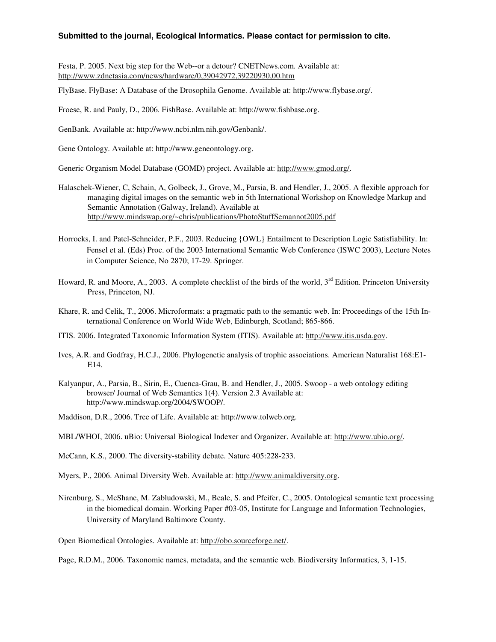Festa, P. 2005. Next big step for the Web--or a detour? CNETNews.com. Available at: http://www.zdnetasia.com/news/hardware/0,39042972,39220930,00.htm

FlyBase. FlyBase: A Database of the Drosophila Genome. Available at: http://www.flybase.org/.

Froese, R. and Pauly, D., 2006. FishBase. Available at: http://www.fishbase.org.

GenBank. Available at: http://www.ncbi.nlm.nih.gov/Genbank/.

Gene Ontology. Available at: http://www.geneontology.org.

Generic Organism Model Database (GOMD) project. Available at: http://www.gmod.org/.

- Halaschek-Wiener, C, Schain, A, Golbeck, J., Grove, M., Parsia, B. and Hendler, J., 2005. A flexible approach for managing digital images on the semantic web in 5th International Workshop on Knowledge Markup and Semantic Annotation (Galway, Ireland). Available at http://www.mindswap.org/~chris/publications/PhotoStuffSemannot2005.pdf
- Horrocks, I. and Patel-Schneider, P.F., 2003. Reducing {OWL} Entailment to Description Logic Satisfiability. In: Fensel et al. (Eds) Proc. of the 2003 International Semantic Web Conference (ISWC 2003), Lecture Notes in Computer Science, No 2870; 17-29. Springer.
- Howard, R. and Moore, A., 2003. A complete checklist of the birds of the world, 3<sup>rd</sup> Edition. Princeton University Press, Princeton, NJ.
- Khare, R. and Celik, T., 2006. Microformats: a pragmatic path to the semantic web. In: Proceedings of the 15th International Conference on World Wide Web, Edinburgh, Scotland; 865-866.
- ITIS. 2006. Integrated Taxonomic Information System (ITIS). Available at: http://www.itis.usda.gov.
- Ives, A.R. and Godfray, H.C.J., 2006. Phylogenetic analysis of trophic associations. American Naturalist 168:E1- E14.
- Kalyanpur, A., Parsia, B., Sirin, E., Cuenca-Grau, B. and Hendler, J., 2005. Swoop a web ontology editing browser/ Journal of Web Semantics 1(4). Version 2.3 Available at: http://www.mindswap.org/2004/SWOOP/.
- Maddison, D.R., 2006. Tree of Life. Available at: http://www.tolweb.org.
- MBL/WHOI, 2006. uBio: Universal Biological Indexer and Organizer. Available at: http://www.ubio.org/.

McCann, K.S., 2000. The diversity-stability debate. Nature 405:228-233.

Myers, P., 2006. Animal Diversity Web. Available at: http://www.animaldiversity.org.

Nirenburg, S., McShane, M. Zabludowski, M., Beale, S. and Pfeifer, C., 2005. Ontological semantic text processing in the biomedical domain. Working Paper #03-05, Institute for Language and Information Technologies, University of Maryland Baltimore County.

Open Biomedical Ontologies. Available at: http://obo.sourceforge.net/.

Page, R.D.M., 2006. Taxonomic names, metadata, and the semantic web. Biodiversity Informatics, 3, 1-15.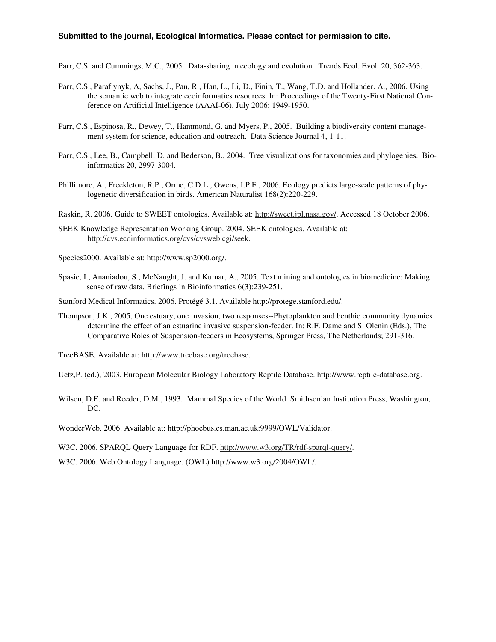Parr, C.S. and Cummings, M.C., 2005. Data-sharing in ecology and evolution. Trends Ecol. Evol. 20, 362-363.

- Parr, C.S., Parafiynyk, A, Sachs, J., Pan, R., Han, L., Li, D., Finin, T., Wang, T.D. and Hollander. A., 2006. Using the semantic web to integrate ecoinformatics resources. In: Proceedings of the Twenty-First National Conference on Artificial Intelligence (AAAI-06), July 2006; 1949-1950.
- Parr, C.S., Espinosa, R., Dewey, T., Hammond, G. and Myers, P., 2005. Building a biodiversity content management system for science, education and outreach. Data Science Journal 4, 1-11.
- Parr, C.S., Lee, B., Campbell, D. and Bederson, B., 2004. Tree visualizations for taxonomies and phylogenies. Bioinformatics 20, 2997-3004.
- Phillimore, A., Freckleton, R.P., Orme, C.D.L., Owens, I.P.F., 2006. Ecology predicts large-scale patterns of phylogenetic diversification in birds. American Naturalist 168(2):220-229.
- Raskin, R. 2006. Guide to SWEET ontologies. Available at: http://sweet.jpl.nasa.gov/. Accessed 18 October 2006.
- SEEK Knowledge Representation Working Group. 2004. SEEK ontologies. Available at: http://cvs.ecoinformatics.org/cvs/cvsweb.cgi/seek.
- Species2000. Available at: http://www.sp2000.org/.
- Spasic, I., Ananiadou, S., McNaught, J. and Kumar, A., 2005. Text mining and ontologies in biomedicine: Making sense of raw data. Briefings in Bioinformatics 6(3):239-251.
- Stanford Medical Informatics. 2006. Protégé 3.1. Available http://protege.stanford.edu/.
- Thompson, J.K., 2005, One estuary, one invasion, two responses--Phytoplankton and benthic community dynamics determine the effect of an estuarine invasive suspension-feeder. In: R.F. Dame and S. Olenin (Eds.), The Comparative Roles of Suspension-feeders in Ecosystems, Springer Press, The Netherlands; 291-316.

TreeBASE. Available at: http://www.treebase.org/treebase.

Uetz,P. (ed.), 2003. European Molecular Biology Laboratory Reptile Database. http://www.reptile-database.org.

Wilson, D.E. and Reeder, D.M., 1993. Mammal Species of the World. Smithsonian Institution Press, Washington, DC.

WonderWeb. 2006. Available at: http://phoebus.cs.man.ac.uk:9999/OWL/Validator.

W3C. 2006. SPARQL Query Language for RDF. http://www.w3.org/TR/rdf-sparql-query/.

W3C. 2006. Web Ontology Language. (OWL) http://www.w3.org/2004/OWL/.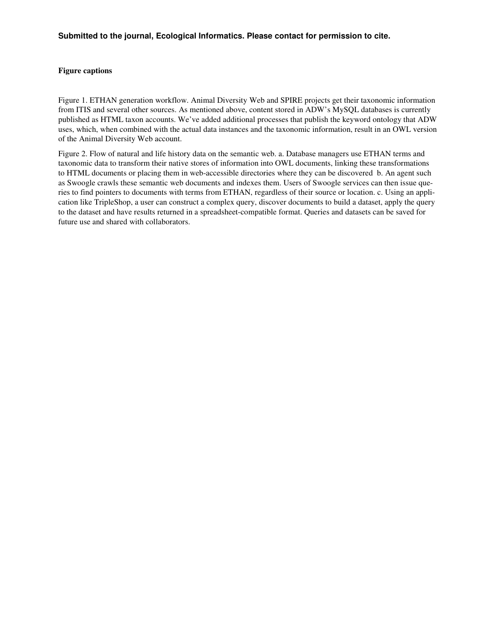### **Figure captions**

Figure 1. ETHAN generation workflow. Animal Diversity Web and SPIRE projects get their taxonomic information from ITIS and several other sources. As mentioned above, content stored in ADW's MySQL databases is currently published as HTML taxon accounts. We've added additional processes that publish the keyword ontology that ADW uses, which, when combined with the actual data instances and the taxonomic information, result in an OWL version of the Animal Diversity Web account.

Figure 2. Flow of natural and life history data on the semantic web. a. Database managers use ETHAN terms and taxonomic data to transform their native stores of information into OWL documents, linking these transformations to HTML documents or placing them in web-accessible directories where they can be discovered b. An agent such as Swoogle crawls these semantic web documents and indexes them. Users of Swoogle services can then issue queries to find pointers to documents with terms from ETHAN, regardless of their source or location. c. Using an application like TripleShop, a user can construct a complex query, discover documents to build a dataset, apply the query to the dataset and have results returned in a spreadsheet-compatible format. Queries and datasets can be saved for future use and shared with collaborators.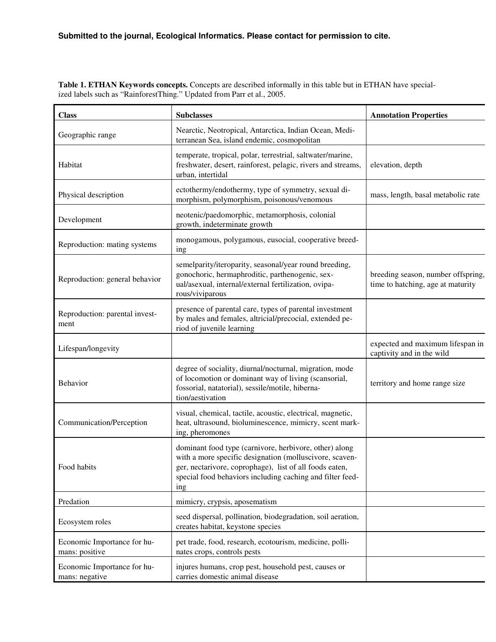**Table 1. ETHAN Keywords concepts.** Concepts are described informally in this table but in ETHAN have specialized labels such as "RainforestThing." Updated from Parr et al., 2005.

| <b>Class</b>                                  | <b>Subclasses</b>                                                                                                                                                                                                                                | <b>Annotation Properties</b>                                            |
|-----------------------------------------------|--------------------------------------------------------------------------------------------------------------------------------------------------------------------------------------------------------------------------------------------------|-------------------------------------------------------------------------|
| Geographic range                              | Nearctic, Neotropical, Antarctica, Indian Ocean, Medi-<br>terranean Sea, island endemic, cosmopolitan                                                                                                                                            |                                                                         |
| Habitat                                       | temperate, tropical, polar, terrestrial, saltwater/marine,<br>freshwater, desert, rainforest, pelagic, rivers and streams,<br>urban, intertidal                                                                                                  | elevation, depth                                                        |
| Physical description                          | ectothermy/endothermy, type of symmetry, sexual di-<br>mass, length, basal metabolic rate<br>morphism, polymorphism, poisonous/venomous                                                                                                          |                                                                         |
| Development                                   | neotenic/paedomorphic, metamorphosis, colonial<br>growth, indeterminate growth                                                                                                                                                                   |                                                                         |
| Reproduction: mating systems                  | monogamous, polygamous, eusocial, cooperative breed-<br>ing                                                                                                                                                                                      |                                                                         |
| Reproduction: general behavior                | semelparity/iteroparity, seasonal/year round breeding,<br>gonochoric, hermaphroditic, parthenogenic, sex-<br>ual/asexual, internal/external fertilization, ovipa-<br>rous/viviparous                                                             | breeding season, number offspring,<br>time to hatching, age at maturity |
| Reproduction: parental invest-<br>ment        | presence of parental care, types of parental investment<br>by males and females, altricial/precocial, extended pe-<br>riod of juvenile learning                                                                                                  |                                                                         |
| Lifespan/longevity                            |                                                                                                                                                                                                                                                  | expected and maximum lifespan in<br>captivity and in the wild           |
| Behavior                                      | degree of sociality, diurnal/nocturnal, migration, mode<br>of locomotion or dominant way of living (scansorial,<br>fossorial, natatorial), sessile/motile, hiberna-<br>tion/aestivation                                                          | territory and home range size                                           |
| Communication/Perception                      | visual, chemical, tactile, acoustic, electrical, magnetic,<br>heat, ultrasound, bioluminescence, mimicry, scent mark-<br>ing, pheromones                                                                                                         |                                                                         |
| Food habits                                   | dominant food type (carnivore, herbivore, other) along<br>with a more specific designation (molluscivore, scaven-<br>ger, nectarivore, coprophage), list of all foods eaten,<br>special food behaviors including caching and filter feed-<br>ing |                                                                         |
| Predation                                     | mimicry, crypsis, aposematism                                                                                                                                                                                                                    |                                                                         |
| Ecosystem roles                               | seed dispersal, pollination, biodegradation, soil aeration,<br>creates habitat, keystone species                                                                                                                                                 |                                                                         |
| Economic Importance for hu-<br>mans: positive | pet trade, food, research, ecotourism, medicine, polli-<br>nates crops, controls pests                                                                                                                                                           |                                                                         |
| Economic Importance for hu-<br>mans: negative | injures humans, crop pest, household pest, causes or<br>carries domestic animal disease                                                                                                                                                          |                                                                         |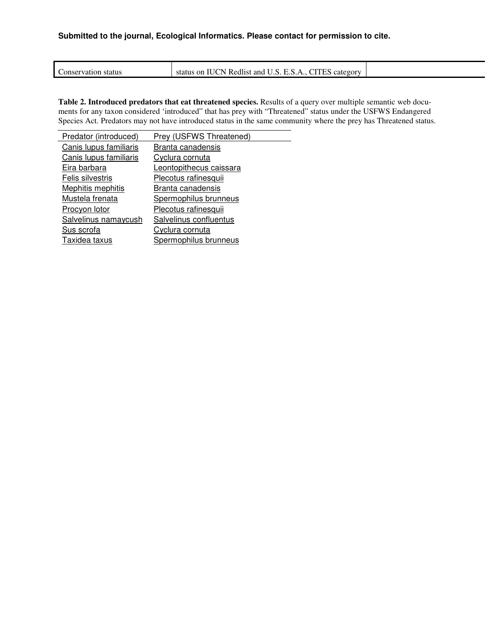|                             | $-1$<br>$\sim$ $\sim$<br>$\sim$                                                   |  |
|-----------------------------|-----------------------------------------------------------------------------------|--|
| status<br>onsery<br>vation. | $D_{\alpha\alpha}$<br>N<br>category<br>`anc<br>. On<br>edlist<br>status<br>┻<br>. |  |

**Table 2. Introduced predators that eat threatened species.** Results of a query over multiple semantic web documents for any taxon considered 'introduced" that has prey with "Threatened" status under the USFWS Endangered Species Act. Predators may not have introduced status in the same community where the prey has Threatened status.

| Predator (introduced)  | Prey (USFWS Threatened) |
|------------------------|-------------------------|
| Canis lupus familiaris | Branta canadensis       |
| Canis lupus familiaris | Cyclura cornuta         |
| Eira barbara           | Leontopithecus caissara |
| Felis silvestris       | Plecotus rafinesquii    |
| Mephitis mephitis      | Branta canadensis       |
| Mustela frenata        | Spermophilus brunneus   |
| Procyon lotor          | Plecotus rafinesquii    |
| Salvelinus namaycush   | Salvelinus confluentus  |
| Sus scrofa             | Cyclura cornuta         |
| Taxidea taxus          | Spermophilus brunneus   |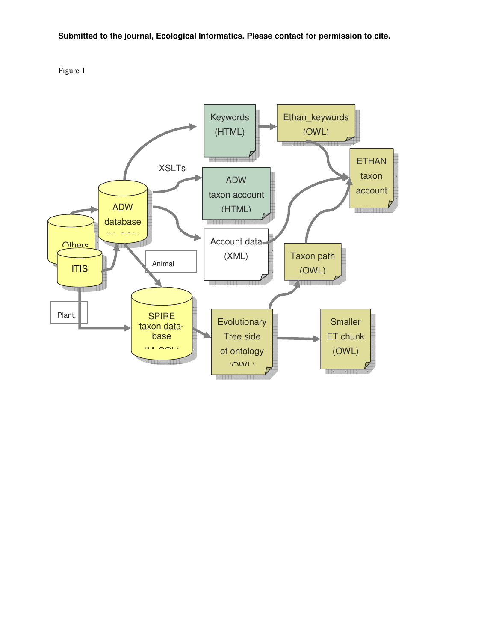